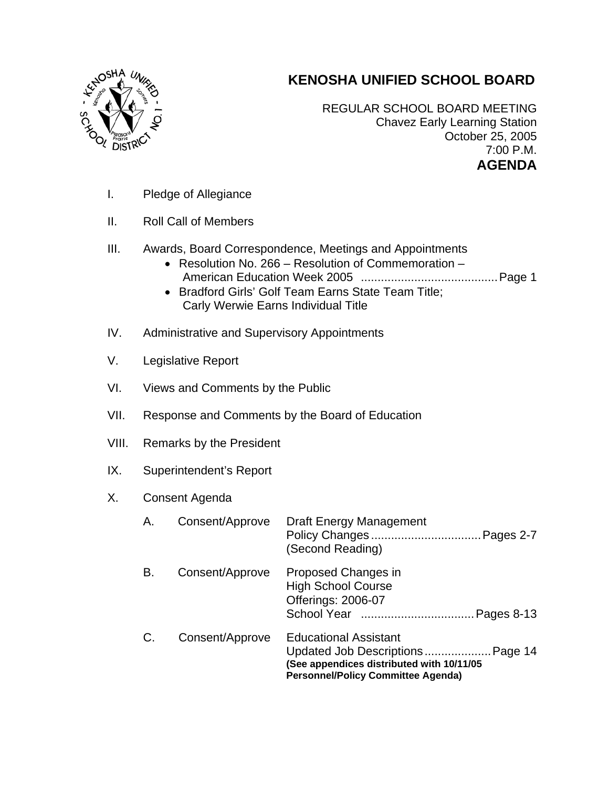

## **KENOSHA UNIFIED SCHOOL BOARD**

REGULAR SCHOOL BOARD MEETING Chavez Early Learning Station October 25, 2005 7:00 P.M. **AGENDA** 

- I. Pledge of Allegiance
- II. Roll Call of Members
- III. Awards, Board Correspondence, Meetings and Appointments
	- Resolution No. 266 Resolution of Commemoration American Education Week 2005 .........................................Page 1
	- Bradford Girls' Golf Team Earns State Team Title; Carly Werwie Earns Individual Title
- IV. Administrative and Supervisory Appointments
- V. Legislative Report
- VI. Views and Comments by the Public
- VII. Response and Comments by the Board of Education
- VIII. Remarks by the President
- IX. Superintendent's Report

## X. Consent Agenda

| Α. | Consent/Approve | <b>Draft Energy Management</b><br>Pages 2-7<br>(Second Reading)                                                       |
|----|-----------------|-----------------------------------------------------------------------------------------------------------------------|
| В. | Consent/Approve | Proposed Changes in<br><b>High School Course</b><br><b>Offerings: 2006-07</b><br>Pages 8-13                           |
|    | Consent/Approve | <b>Educational Assistant</b><br>See appendices distributed with 10/11/05<br><b>Personnel/Policy Committee Agenda)</b> |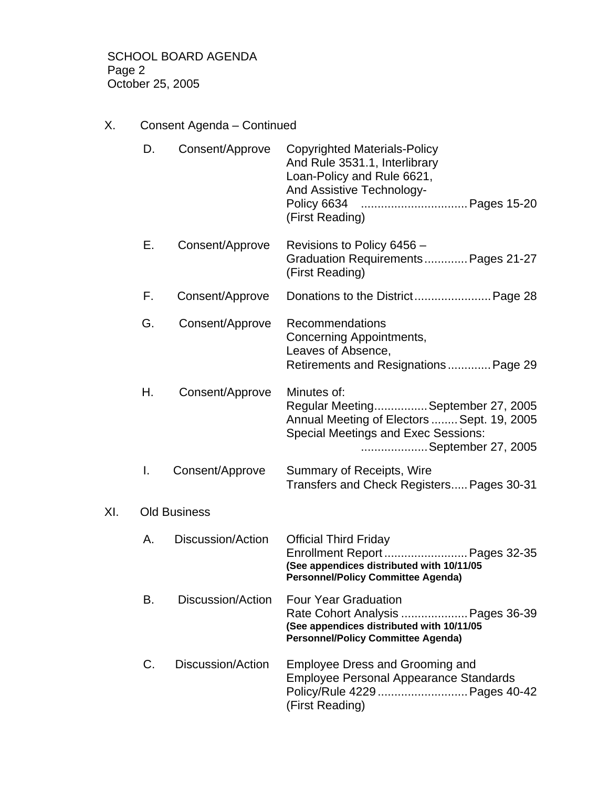SCHOOL BOARD AGENDA Page 2 October 25, 2005

X. Consent Agenda – Continued

|     | D. | Consent/Approve     | <b>Copyrighted Materials-Policy</b><br>And Rule 3531.1, Interlibrary<br>Loan-Policy and Rule 6621,<br>And Assistive Technology-<br>(First Reading)                 |
|-----|----|---------------------|--------------------------------------------------------------------------------------------------------------------------------------------------------------------|
|     | Е. | Consent/Approve     | Revisions to Policy 6456 -<br>Graduation Requirements Pages 21-27<br>(First Reading)                                                                               |
|     | F. | Consent/Approve     |                                                                                                                                                                    |
|     | G. | Consent/Approve     | Recommendations<br>Concerning Appointments,<br>Leaves of Absence,<br>Retirements and Resignations Page 29                                                          |
|     | Н. | Consent/Approve     | Minutes of:<br>Regular MeetingSeptember 27, 2005<br>Annual Meeting of Electors  Sept. 19, 2005<br><b>Special Meetings and Exec Sessions:</b><br>September 27, 2005 |
|     | L. | Consent/Approve     | Summary of Receipts, Wire<br>Transfers and Check Registers Pages 30-31                                                                                             |
| XI. |    | <b>Old Business</b> |                                                                                                                                                                    |
|     | Α. | Discussion/Action   | <b>Official Third Friday</b><br>Enrollment Report Pages 32-35<br>(See appendices distributed with 10/11/05<br><b>Personnel/Policy Committee Agenda)</b>            |
|     | В. | Discussion/Action   | <b>Four Year Graduation</b><br>Rate Cohort Analysis  Pages 36-39<br>(See appendices distributed with 10/11/05<br><b>Personnel/Policy Committee Agenda)</b>         |
|     | C. | Discussion/Action   | <b>Employee Dress and Grooming and</b><br><b>Employee Personal Appearance Standards</b><br>Policy/Rule 4229  Pages 40-42<br>(First Reading)                        |